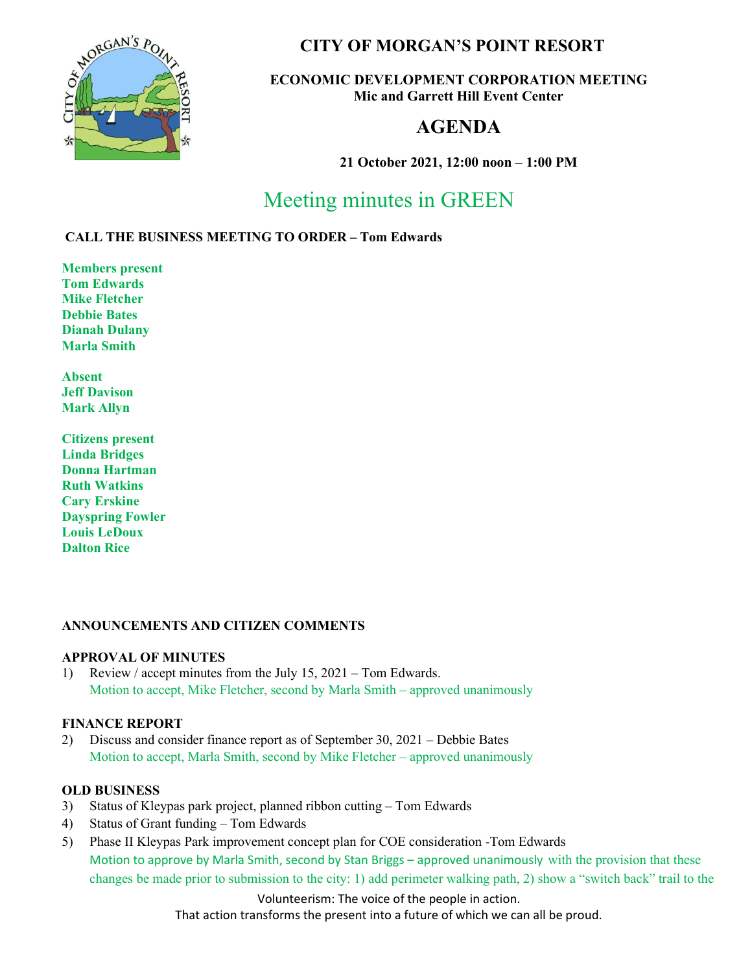

# CITY OF MORGAN'S POINT RESORT

# ECONOMIC DEVELOPMENT CORPORATION MEETING Mic and Garrett Hill Event Center

# AGENDA

21 October 2021, 12:00 noon – 1:00 PM

# Meeting minutes in GREEN

# CALL THE BUSINESS MEETING TO ORDER – Tom Edwards

Members present Tom Edwards Mike Fletcher Debbie Bates Dianah Dulany Marla Smith

Absent Jeff Davison Mark Allyn

Citizens present Linda Bridges Donna Hartman Ruth Watkins Cary Erskine Dayspring Fowler Louis LeDoux Dalton Rice

# ANNOUNCEMENTS AND CITIZEN COMMENTS

#### APPROVAL OF MINUTES

1) Review / accept minutes from the July 15, 2021 – Tom Edwards. Motion to accept, Mike Fletcher, second by Marla Smith – approved unanimously

# FINANCE REPORT

2) Discuss and consider finance report as of September 30, 2021 – Debbie Bates Motion to accept, Marla Smith, second by Mike Fletcher – approved unanimously

# OLD BUSINESS

- 3) Status of Kleypas park project, planned ribbon cutting Tom Edwards
- 4) Status of Grant funding Tom Edwards
- 5) Phase II Kleypas Park improvement concept plan for COE consideration -Tom Edwards Motion to approve by Marla Smith, second by Stan Briggs – approved unanimously with the provision that these changes be made prior to submission to the city: 1) add perimeter walking path, 2) show a "switch back" trail to the

Volunteerism: The voice of the people in action.

That action transforms the present into a future of which we can all be proud.